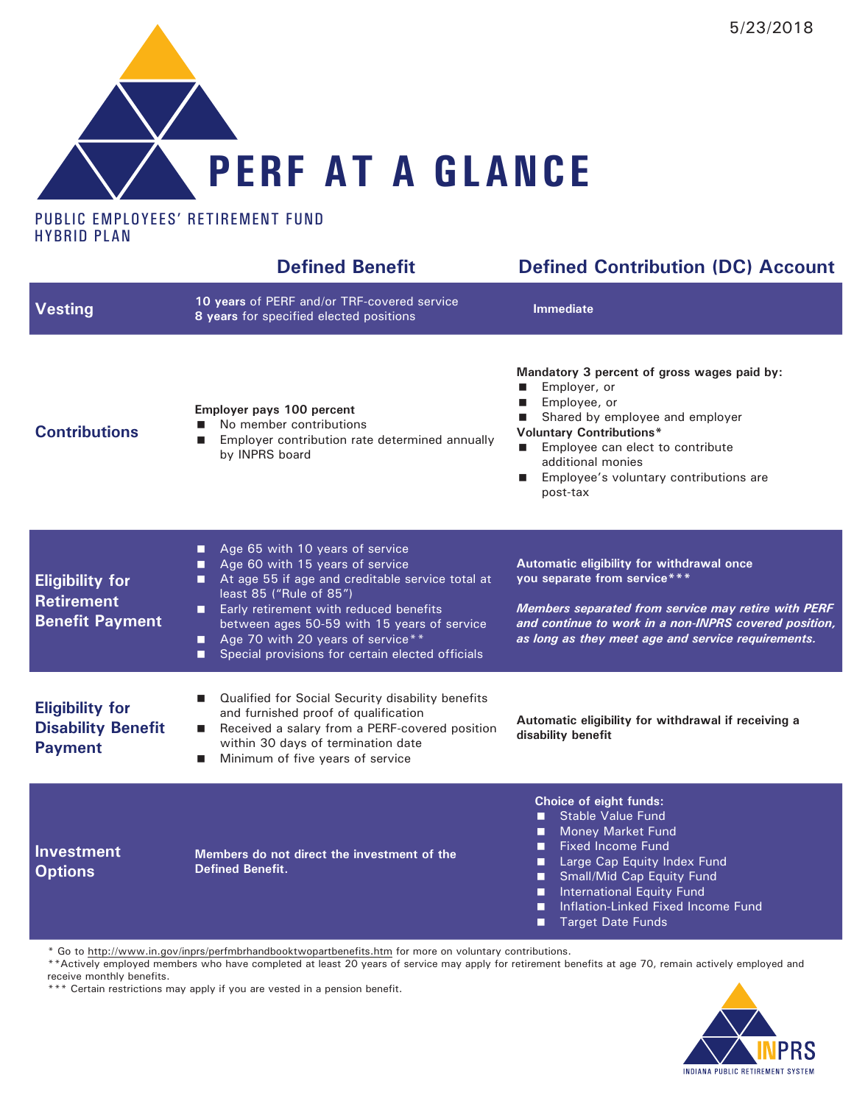

### PUBLIC EMPLOYEES' RETIREMENT FUND HYBRID PLAN

|                                                                       | <b>Defined Benefit</b>                                                                                                                                                                                                                                                                                                                                            | <b>Defined Contribution (DC) Account</b>                                                                                                                                                                                                                                                                             |
|-----------------------------------------------------------------------|-------------------------------------------------------------------------------------------------------------------------------------------------------------------------------------------------------------------------------------------------------------------------------------------------------------------------------------------------------------------|----------------------------------------------------------------------------------------------------------------------------------------------------------------------------------------------------------------------------------------------------------------------------------------------------------------------|
| <b>Vesting</b>                                                        | 10 years of PERF and/or TRF-covered service<br>8 years for specified elected positions                                                                                                                                                                                                                                                                            | <b>Immediate</b>                                                                                                                                                                                                                                                                                                     |
| <b>Contributions</b>                                                  | Employer pays 100 percent<br>No member contributions<br>Employer contribution rate determined annually<br>П<br>by INPRS board                                                                                                                                                                                                                                     | Mandatory 3 percent of gross wages paid by:<br>Employer, or<br>Employee, or<br>Shared by employee and employer<br><b>Voluntary Contributions*</b><br>Employee can elect to contribute<br>$\blacksquare$<br>additional monies<br>Employee's voluntary contributions are<br>п<br>post-tax                              |
| <b>Eligibility for</b><br><b>Retirement</b><br><b>Benefit Payment</b> | Age 65 with 10 years of service<br>П<br>Age 60 with 15 years of service<br>□<br>At age 55 if age and creditable service total at<br>□<br>least 85 ("Rule of 85")<br>Early retirement with reduced benefits<br>□<br>between ages 50-59 with 15 years of service<br>Age 70 with 20 years of service**<br>П<br>Special provisions for certain elected officials<br>П | Automatic eligibility for withdrawal once<br>you separate from service***<br>Members separated from service may retire with PERF<br>and continue to work in a non-INPRS covered position,<br>as long as they meet age and service requirements.                                                                      |
| <b>Eligibility for</b><br><b>Disability Benefit</b><br><b>Payment</b> | Qualified for Social Security disability benefits<br>■<br>and furnished proof of qualification<br>Received a salary from a PERF-covered position<br>$\blacksquare$<br>within 30 days of termination date<br>Minimum of five years of service<br>$\blacksquare$                                                                                                    | Automatic eligibility for withdrawal if receiving a<br>disability benefit                                                                                                                                                                                                                                            |
| <b>Investment</b><br><b>Options</b>                                   | Members do not direct the investment of the<br><b>Defined Benefit.</b>                                                                                                                                                                                                                                                                                            | Choice of eight funds:<br><b>Stable Value Fund</b><br>п<br><b>Money Market Fund</b><br>■<br><b>Fixed Income Fund</b><br>■<br>Large Cap Equity Index Fund<br>П<br>Small/Mid Cap Equity Fund<br>■<br><b>International Equity Fund</b><br>□<br>Inflation-Linked Fixed Income Fund<br>П<br><b>Target Date Funds</b><br>■ |

\* Go to <http://www.in.gov/inprs/perfmbrhandbooktwopartbenefits.htm> for more on voluntary contributions.

\*\*Actively employed members who have completed at least 20 years of service may apply for retirement benefits at age 70, remain actively employed and receive monthly benefits.

\*\*\* Certain restrictions may apply if you are vested in a pension benefit.